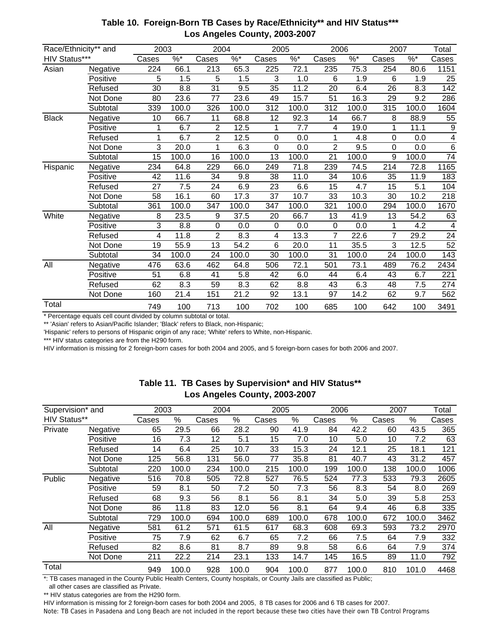| Race/Ethnicity** and |          | 2003            |                   |                 | 2004     |                  | 2005          | 2006           |                  | 2007            |          | Total            |
|----------------------|----------|-----------------|-------------------|-----------------|----------|------------------|---------------|----------------|------------------|-----------------|----------|------------------|
| HIV Status***        |          | Cases           | $\overline{\%^*}$ | Cases           | $\%$ $*$ | Cases            | $\frac{9}{6}$ | Cases          | $\frac{9}{6}$    | Cases           | $\%$ $*$ | Cases            |
| Asian                | Negative | 224             | 66.1              | 213             | 65.3     | 225              | 72.1          | 235            | 75.3             | 254             | 80.6     | 1151             |
|                      | Positive | 5               | 1.5               | 5               | 1.5      | 3                | 1.0           | 6              | 1.9              | 6               | 1.9      | 25               |
|                      | Refused  | 30              | 8.8               | 31              | 9.5      | 35               | 11.2          | 20             | 6.4              | 26              | 8.3      | 142              |
|                      | Not Done | 80              | 23.6              | 77              | 23.6     | 49               | 15.7          | 51             | 16.3             | 29              | 9.2      | 286              |
|                      | Subtotal | 339             | 100.0             | 326             | 100.0    | 312              | 100.0         | 312            | 100.0            | 315             | 100.0    | 1604             |
| <b>Black</b>         | Negative | 10              | 66.7              | 11              | 68.8     | 12               | 92.3          | 14             | 66.7             | 8               | 88.9     | 55               |
|                      | Positive | 1               | 6.7               | 2               | 12.5     | 1                | 7.7           | 4              | 19.0             | 1               | 11.1     | 9                |
|                      | Refused  | 1               | 6.7               | $\overline{2}$  | 12.5     | 0                | 0.0           | 1              | 4.8              | $\mathbf 0$     | 0.0      | 4                |
|                      | Not Done | 3               | 20.0              | 1               | 6.3      | 0                | 0.0           | $\overline{2}$ | 9.5              | $\overline{0}$  | 0.0      | 6                |
|                      | Subtotal | 15              | 100.0             | 16              | 100.0    | 13               | 100.0         | 21             | 100.0            | 9               | 100.0    | $\overline{74}$  |
| Hispanic             | Negative | 234             | 64.8              | 229             | 66.0     | 249              | 71.8          | 239            | 74.5             | 214             | 72.8     | 1165             |
|                      | Positive | 42              | 11.6              | 34              | 9.8      | 38               | 11.0          | 34             | 10.6             | 35              | 11.9     | 183              |
|                      | Refused  | $\overline{27}$ | $\overline{7.5}$  | $\overline{24}$ | 6.9      | $\overline{23}$  | 6.6           | 15             | $\overline{4.7}$ | 15              | 5.1      | 104              |
|                      | Not Done | $\overline{58}$ | 16.1              | 60              | 17.3     | $\overline{37}$  | 10.7          | 33             | 10.3             | $\overline{30}$ | 10.2     | $\overline{218}$ |
|                      | Subtotal | 361             | 100.0             | 347             | 100.0    | 347              | 100.0         | 321            | 100.0            | 294             | 100.0    | 1670             |
| White                | Negative | 8               | 23.5              | 9               | 37.5     | 20               | 66.7          | 13             | 41.9             | 13              | 54.2     | 63               |
|                      | Positive | 3               | 8.8               | $\mathbf 0$     | 0.0      | $\boldsymbol{0}$ | 0.0           | $\mathbf 0$    | 0.0              | 1               | 4.2      | 4                |
|                      | Refused  | 4               | 11.8              | $\overline{2}$  | 8.3      | 4                | 13.3          | $\overline{7}$ | 22.6             | 7               | 29.2     | $\overline{24}$  |
|                      | Not Done | 19              | 55.9              | 13              | 54.2     | 6                | 20.0          | 11             | 35.5             | 3               | 12.5     | 52               |
|                      | Subtotal | 34              | 100.0             | 24              | 100.0    | 30               | 100.0         | 31             | 100.0            | 24              | 100.0    | 143              |
| All                  | Negative | 476             | 63.6              | 462             | 64.8     | 506              | 72.1          | 501            | 73.1             | 489             | 76.2     | 2434             |
|                      | Positive | 51              | 6.8               | 41              | 5.8      | 42               | 6.0           | 44             | 6.4              | 43              | 6.7      | 221              |
|                      | Refused  | 62              | 8.3               | 59              | 8.3      | 62               | 8.8           | 43             | 6.3              | 48              | 7.5      | 274              |
|                      | Not Done | 160             | 21.4              | 151             | 21.2     | 92               | 13.1          | 97             | 14.2             | 62              | 9.7      | 562              |
| Total                |          | 749             | 100               | 713             | 100      | 702              | 100           | 685            | 100              | 642             | 100      | 3491             |

## **Table 10. Foreign-Born TB Cases by Race/Ethnicity\*\* and HIV Status\*\*\* Los Angeles County, 2003-2007**

\* Percentage equals cell count divided by column subtotal or total.

\*\* 'Asian' refers to Asian/Pacific Islander; 'Black' refers to Black, non-Hispanic;

'Hispanic' refers to persons of Hispanic origin of any race; 'White' refers to White, non-Hispanic.

\*\*\* HIV status categories are from the H290 form.

HIV information is missing for 2 foreign-born cases for both 2004 and 2005, and 5 foreign-born cases for both 2006 and 2007.

| Supervision* and    |          | 2003  |       | 2004  |       | 2005  |       | 2006  |       | 2007  |       | Total |
|---------------------|----------|-------|-------|-------|-------|-------|-------|-------|-------|-------|-------|-------|
| <b>HIV Status**</b> |          | Cases | %     | Cases | %     | Cases | %     | Cases | %     | Cases | %     | Cases |
| Private             | Negative | 65    | 29.5  | 66    | 28.2  | 90    | 41.9  | 84    | 42.2  | 60    | 43.5  | 365   |
|                     | Positive | 16    | 7.3   | 12    | 5.1   | 15    | 7.0   | 10    | 5.0   | 10    | 7.2   | 63    |
|                     | Refused  | 14    | 6.4   | 25    | 10.7  | 33    | 15.3  | 24    | 12.1  | 25    | 18.1  | 121   |
|                     | Not Done | 125   | 56.8  | 131   | 56.0  | 77    | 35.8  | 81    | 40.7  | 43    | 31.2  | 457   |
|                     | Subtotal | 220   | 100.0 | 234   | 100.0 | 215   | 100.0 | 199   | 100.0 | 138   | 100.0 | 1006  |
| Public              | Negative | 516   | 70.8  | 505   | 72.8  | 527   | 76.5  | 524   | 77.3  | 533   | 79.3  | 2605  |
|                     | Positive | 59    | 8.1   | 50    | 7.2   | 50    | 7.3   | 56    | 8.3   | 54    | 8.0   | 269   |
|                     | Refused  | 68    | 9.3   | 56    | 8.1   | 56    | 8.1   | 34    | 5.0   | 39    | 5.8   | 253   |
|                     | Not Done | 86    | 11.8  | 83    | 12.0  | 56    | 8.1   | 64    | 9.4   | 46    | 6.8   | 335   |
|                     | Subtotal | 729   | 100.0 | 694   | 100.0 | 689   | 100.0 | 678   | 100.0 | 672   | 100.0 | 3462  |
| All                 | Negative | 581   | 61.2  | 571   | 61.5  | 617   | 68.3  | 608   | 69.3  | 593   | 73.2  | 2970  |
|                     | Positive | 75    | 7.9   | 62    | 6.7   | 65    | 7.2   | 66    | 7.5   | 64    | 7.9   | 332   |
|                     | Refused  | 82    | 8.6   | 81    | 8.7   | 89    | 9.8   | 58    | 6.6   | 64    | 7.9   | 374   |
|                     | Not Done | 211   | 22.2  | 214   | 23.1  | 133   | 14.7  | 145   | 16.5  | 89    | 11.0  | 792   |
| Total               |          | 949   | 100.0 | 928   | 100.0 | 904   | 100.0 | 877   | 100.0 | 810   | 101.0 | 4468  |

## **Table 11. TB Cases by Supervision\* and HIV Status\*\* Los Angeles County, 2003-2007**

\*: TB cases managed in the County Public Health Centers, County hospitals, or County Jails are classified as Public;

all other cases are classified as Private.

\*\* HIV status categories are from the H290 form.

HIV information is missing for 2 foreign-born cases for both 2004 and 2005, 8 TB cases for 2006 and 6 TB cases for 2007. Note: TB Cases in Pasadena and Long Beach are not included in the report because these two cities have their own TB Control Programs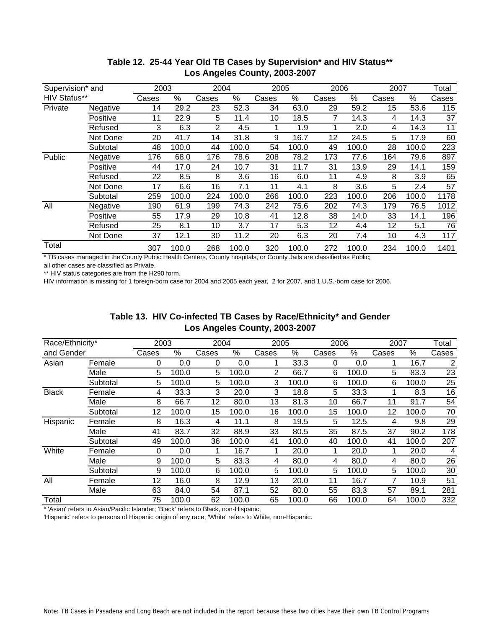| Supervision* and    |          |       | 2003<br>2004 |       | 2005  |       | 2006  |       | 2007  |       | Total |       |
|---------------------|----------|-------|--------------|-------|-------|-------|-------|-------|-------|-------|-------|-------|
| <b>HIV Status**</b> |          | Cases | %            | Cases | %     | Cases | $\%$  | Cases | %     | Cases | $\%$  | Cases |
| Private             | Negative | 14    | 29.2         | 23    | 52.3  | 34    | 63.0  | 29    | 59.2  | 15    | 53.6  | 115   |
|                     | Positive | 11    | 22.9         | 5     | 11.4  | 10    | 18.5  |       | 14.3  | 4     | 14.3  | 37    |
|                     | Refused  | 3     | 6.3          | 2     | 4.5   |       | 1.9   |       | 2.0   | 4     | 14.3  | 11    |
|                     | Not Done | 20    | 41.7         | 14    | 31.8  | 9     | 16.7  | 12    | 24.5  | 5     | 17.9  | 60    |
|                     | Subtotal | 48    | 100.0        | 44    | 100.0 | 54    | 100.0 | 49    | 100.0 | 28    | 100.0 | 223   |
| Public              | Negative | 176   | 68.0         | 176   | 78.6  | 208   | 78.2  | 173   | 77.6  | 164   | 79.6  | 897   |
|                     | Positive | 44    | 17.0         | 24    | 10.7  | 31    | 11.7  | 31    | 13.9  | 29    | 14.1  | 159   |
|                     | Refused  | 22    | 8.5          | 8     | 3.6   | 16    | 6.0   | 11    | 4.9   | 8     | 3.9   | 65    |
|                     | Not Done | 17    | 6.6          | 16    | 7.1   | 11    | 4.1   | 8     | 3.6   | 5     | 2.4   | 57    |
|                     | Subtotal | 259   | 100.0        | 224   | 100.0 | 266   | 100.0 | 223   | 100.0 | 206   | 100.0 | 1178  |
| All                 | Negative | 190   | 61.9         | 199   | 74.3  | 242   | 75.6  | 202   | 74.3  | 179   | 76.5  | 1012  |
|                     | Positive | 55    | 17.9         | 29    | 10.8  | 41    | 12.8  | 38    | 14.0  | 33    | 14.1  | 196   |
|                     | Refused  | 25    | 8.1          | 10    | 3.7   | 17    | 5.3   | 12    | 4.4   | 12    | 5.1   | 76    |
|                     | Not Done | 37    | 12.1         | 30    | 11.2  | 20    | 6.3   | 20    | 7.4   | 10    | 4.3   | 117   |
| Total               |          | 307   | 100.0        | 268   | 100.0 | 320   | 100.0 | 272   | 100.0 | 234   | 100.0 | 1401  |

## **Table 12. 25-44 Year Old TB Cases by Supervision\* and HIV Status\*\* Los Angeles County, 2003-2007**

\* TB cases managed in the County Public Health Centers, County hospitals, or County Jails are classified as Public; all other cases are classified as Private.

\*\* HIV status categories are from the H290 form. HIV information is missing for 1 foreign-born case for 2004 and 2005 each year, 2 for 2007, and 1 U.S.-born case for 2006.

> **Table 13. HIV Co-infected TB Cases by Race/Ethnicity\* and Gender Los Angeles County, 2003-2007**

| Race/Ethnicity*<br>and Gender |          | 2003  |       | 2004  |       | 2005  |       | 2006  |       | 2007  |       | Total          |
|-------------------------------|----------|-------|-------|-------|-------|-------|-------|-------|-------|-------|-------|----------------|
|                               |          | Cases | $\%$  | Cases | $\%$  | Cases | %     | Cases | ℅     | Cases | %     | Cases          |
| Asian                         | Female   | 0     | 0.0   | 0     | 0.0   |       | 33.3  | 0     | 0.0   |       | 16.7  | $\overline{2}$ |
|                               | Male     | 5     | 100.0 | 5     | 100.0 | 2     | 66.7  | 6     | 100.0 | 5     | 83.3  | 23             |
|                               | Subtotal | 5     | 100.0 | 5     | 100.0 | 3     | 100.0 | 6     | 100.0 | 6     | 100.0 | 25             |
| <b>Black</b>                  | Female   | 4     | 33.3  | 3     | 20.0  | 3     | 18.8  | 5     | 33.3  |       | 8.3   | 16             |
|                               | Male     | 8     | 66.7  | 12    | 80.0  | 13    | 81.3  | 10    | 66.7  | 11    | 91.7  | 54             |
|                               | Subtotal | 12    | 100.0 | 15    | 100.0 | 16    | 100.0 | 15    | 100.0 | 12    | 100.0 | 70             |
| Hispanic                      | Female   | 8     | 16.3  | 4     | 11.1  | 8     | 19.5  | 5     | 12.5  | 4     | 9.8   | 29             |
|                               | Male     | 41    | 83.7  | 32    | 88.9  | 33    | 80.5  | 35    | 87.5  | 37    | 90.2  | 178            |
|                               | Subtotal | 49    | 100.0 | 36    | 100.0 | 41    | 100.0 | 40    | 100.0 | 41    | 100.0 | 207            |
| White                         | Female   | 0     | 0.0   | 1     | 16.7  | 4     | 20.0  |       | 20.0  |       | 20.0  | $\overline{4}$ |
|                               | Male     | 9     | 100.0 | 5     | 83.3  | 4     | 80.0  | 4     | 80.0  | 4     | 80.0  | 26             |
|                               | Subtotal | 9     | 100.0 | 6     | 100.0 | 5     | 100.0 | 5     | 100.0 | 5     | 100.0 | 30             |
| All                           | Female   | 12    | 16.0  | 8     | 12.9  | 13    | 20.0  | 11    | 16.7  |       | 10.9  | 51             |
|                               | Male     | 63    | 84.0  | 54    | 87.1  | 52    | 80.0  | 55    | 83.3  | 57    | 89.1  | 281            |
| Total                         |          | 75    | 100.0 | 62    | 100.0 | 65    | 100.0 | 66    | 100.0 | 64    | 100.0 | 332            |

\* 'Asian' refers to Asian/Pacific Islander; 'Black' refers to Black, non-Hispanic;

'Hispanic' refers to persons of Hispanic origin of any race; 'White' refers to White, non-Hispanic.